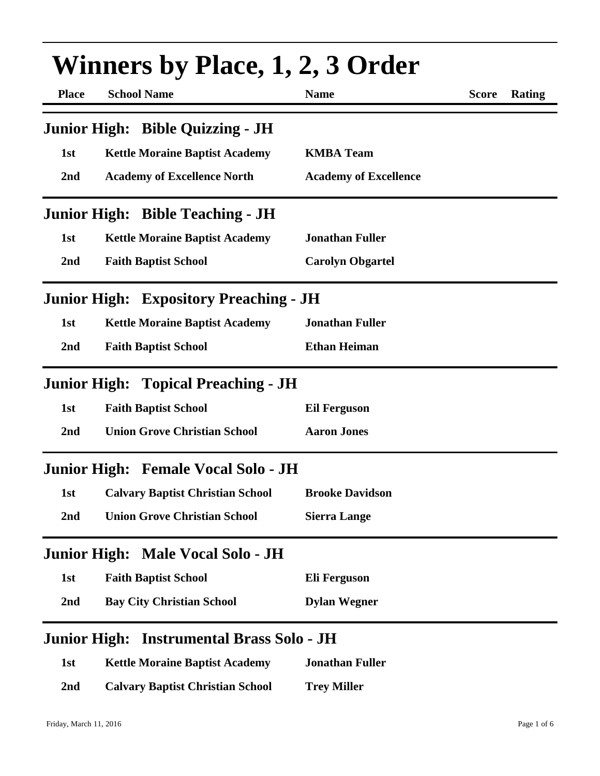| <b>Winners by Place, 1, 2, 3 Order</b> |                                               |                              |              |        |
|----------------------------------------|-----------------------------------------------|------------------------------|--------------|--------|
| <b>Place</b>                           | <b>School Name</b>                            | <b>Name</b>                  | <b>Score</b> | Rating |
|                                        | Junior High: Bible Quizzing - JH              |                              |              |        |
| 1st                                    | <b>Kettle Moraine Baptist Academy</b>         | <b>KMBA Team</b>             |              |        |
| 2nd                                    | <b>Academy of Excellence North</b>            | <b>Academy of Excellence</b> |              |        |
|                                        | <b>Junior High: Bible Teaching - JH</b>       |                              |              |        |
| 1st                                    | <b>Kettle Moraine Baptist Academy</b>         | <b>Jonathan Fuller</b>       |              |        |
| 2nd                                    | <b>Faith Baptist School</b>                   | <b>Carolyn Obgartel</b>      |              |        |
|                                        | <b>Junior High: Expository Preaching - JH</b> |                              |              |        |
| 1st                                    | <b>Kettle Moraine Baptist Academy</b>         | <b>Jonathan Fuller</b>       |              |        |
| 2nd                                    | <b>Faith Baptist School</b>                   | <b>Ethan Heiman</b>          |              |        |
|                                        | <b>Junior High: Topical Preaching - JH</b>    |                              |              |        |
| 1st                                    | <b>Faith Baptist School</b>                   | <b>Eil Ferguson</b>          |              |        |
| 2nd                                    | <b>Union Grove Christian School</b>           | <b>Aaron Jones</b>           |              |        |
|                                        | Junior High: Female Vocal Solo - JH           |                              |              |        |
| 1st                                    | <b>Calvary Baptist Christian School</b>       | <b>Brooke Davidson</b>       |              |        |
| 2nd                                    | <b>Union Grove Christian School</b>           | <b>Sierra Lange</b>          |              |        |
|                                        | Junior High: Male Vocal Solo - JH             |                              |              |        |
| 1st                                    | <b>Faith Baptist School</b>                   | Eli Ferguson                 |              |        |
| 2nd                                    | <b>Bay City Christian School</b>              | <b>Dylan Wegner</b>          |              |        |
|                                        | Junior High: Instrumental Brass Solo - JH     |                              |              |        |
| 1st                                    | <b>Kettle Moraine Baptist Academy</b>         | <b>Jonathan Fuller</b>       |              |        |
| 2nd                                    | <b>Calvary Baptist Christian School</b>       | <b>Trey Miller</b>           |              |        |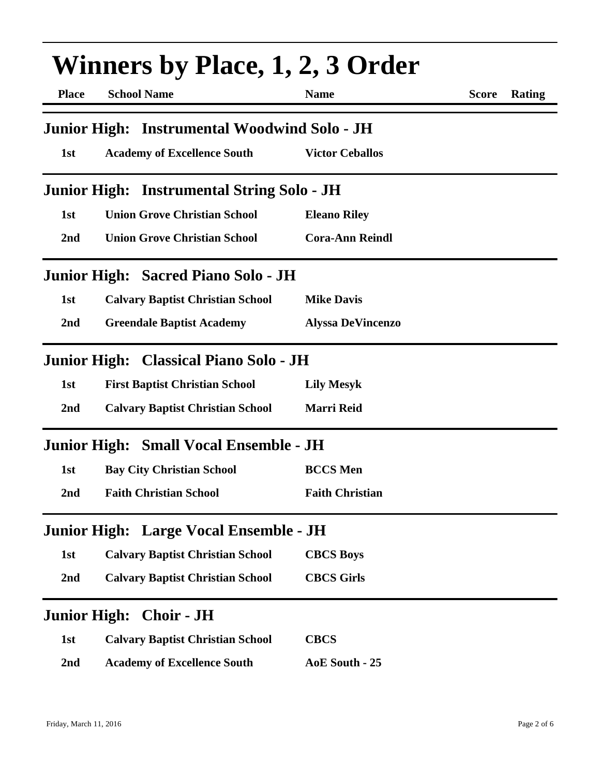| <b>Winners by Place, 1, 2, 3 Order</b> |                                              |                          |                        |  |
|----------------------------------------|----------------------------------------------|--------------------------|------------------------|--|
| <b>Place</b>                           | <b>School Name</b>                           | <b>Name</b>              | <b>Score</b><br>Rating |  |
|                                        | Junior High: Instrumental Woodwind Solo - JH |                          |                        |  |
| 1st                                    | <b>Academy of Excellence South</b>           | <b>Victor Ceballos</b>   |                        |  |
|                                        | Junior High: Instrumental String Solo - JH   |                          |                        |  |
| 1st                                    | <b>Union Grove Christian School</b>          | <b>Eleano Riley</b>      |                        |  |
| 2nd                                    | <b>Union Grove Christian School</b>          | <b>Cora-Ann Reindl</b>   |                        |  |
|                                        | Junior High: Sacred Piano Solo - JH          |                          |                        |  |
| 1st                                    | <b>Calvary Baptist Christian School</b>      | <b>Mike Davis</b>        |                        |  |
| 2nd                                    | <b>Greendale Baptist Academy</b>             | <b>Alyssa DeVincenzo</b> |                        |  |
|                                        | Junior High: Classical Piano Solo - JH       |                          |                        |  |
| 1st                                    | <b>First Baptist Christian School</b>        | <b>Lily Mesyk</b>        |                        |  |
| 2nd                                    | <b>Calvary Baptist Christian School</b>      | <b>Marri Reid</b>        |                        |  |
|                                        | Junior High: Small Vocal Ensemble - JH       |                          |                        |  |
| 1st                                    | <b>Bay City Christian School</b>             | <b>BCCS</b> Men          |                        |  |
| 2 <sub>nd</sub>                        | <b>Faith Christian School</b>                | <b>Faith Christian</b>   |                        |  |
|                                        | Junior High: Large Vocal Ensemble - JH       |                          |                        |  |
| 1st                                    | <b>Calvary Baptist Christian School</b>      | <b>CBCS Boys</b>         |                        |  |
| 2nd                                    | <b>Calvary Baptist Christian School</b>      | <b>CBCS Girls</b>        |                        |  |
|                                        | Junior High: Choir - JH                      |                          |                        |  |
| 1st                                    | <b>Calvary Baptist Christian School</b>      | <b>CBCS</b>              |                        |  |
| 2nd                                    | <b>Academy of Excellence South</b>           | AoE South - 25           |                        |  |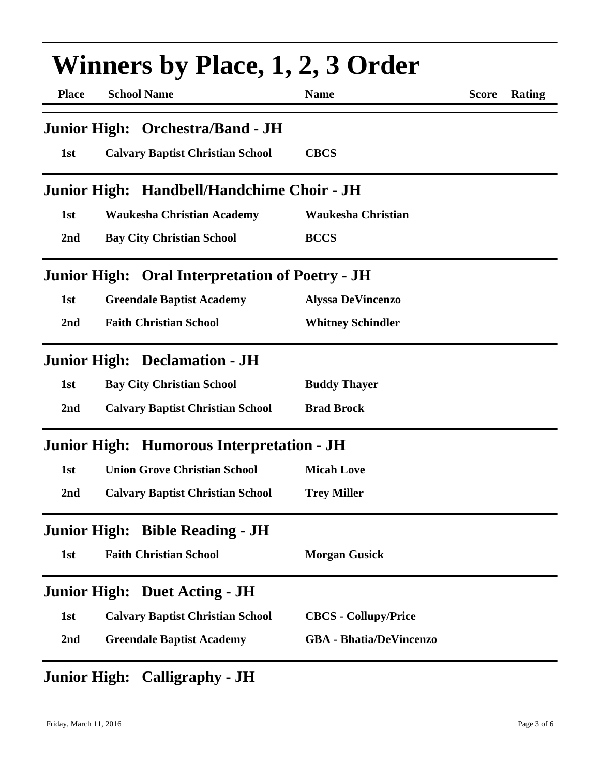| <b>Winners by Place, 1, 2, 3 Order</b> |                                                        |                                |              |        |
|----------------------------------------|--------------------------------------------------------|--------------------------------|--------------|--------|
| <b>Place</b>                           | <b>School Name</b>                                     | <b>Name</b>                    | <b>Score</b> | Rating |
|                                        | Junior High: Orchestra/Band - JH                       |                                |              |        |
| 1st                                    | <b>Calvary Baptist Christian School</b>                | <b>CBCS</b>                    |              |        |
|                                        | Junior High: Handbell/Handchime Choir - JH             |                                |              |        |
| 1st                                    | <b>Waukesha Christian Academy</b>                      | <b>Waukesha Christian</b>      |              |        |
| 2nd                                    | <b>Bay City Christian School</b>                       | <b>BCCS</b>                    |              |        |
|                                        | <b>Junior High: Oral Interpretation of Poetry - JH</b> |                                |              |        |
| 1st                                    | <b>Greendale Baptist Academy</b>                       | <b>Alyssa DeVincenzo</b>       |              |        |
| 2nd                                    | <b>Faith Christian School</b>                          | <b>Whitney Schindler</b>       |              |        |
|                                        | <b>Junior High: Declamation - JH</b>                   |                                |              |        |
| 1st                                    | <b>Bay City Christian School</b>                       | <b>Buddy Thayer</b>            |              |        |
| 2nd                                    | <b>Calvary Baptist Christian School</b>                | <b>Brad Brock</b>              |              |        |
|                                        | Junior High: Humorous Interpretation - JH              |                                |              |        |
| 1st                                    | <b>Union Grove Christian School</b>                    | <b>Micah Love</b>              |              |        |
| 2nd                                    | <b>Calvary Baptist Christian School</b>                | <b>Trey Miller</b>             |              |        |
|                                        | <b>Junior High: Bible Reading - JH</b>                 |                                |              |        |
| 1st                                    | <b>Faith Christian School</b>                          | <b>Morgan Gusick</b>           |              |        |
|                                        | <b>Junior High: Duet Acting - JH</b>                   |                                |              |        |
| 1st                                    | <b>Calvary Baptist Christian School</b>                | <b>CBCS</b> - Collupy/Price    |              |        |
| 2 <sub>nd</sub>                        | <b>Greendale Baptist Academy</b>                       | <b>GBA</b> - Bhatia/DeVincenzo |              |        |

## **Junior High: Calligraphy - JH**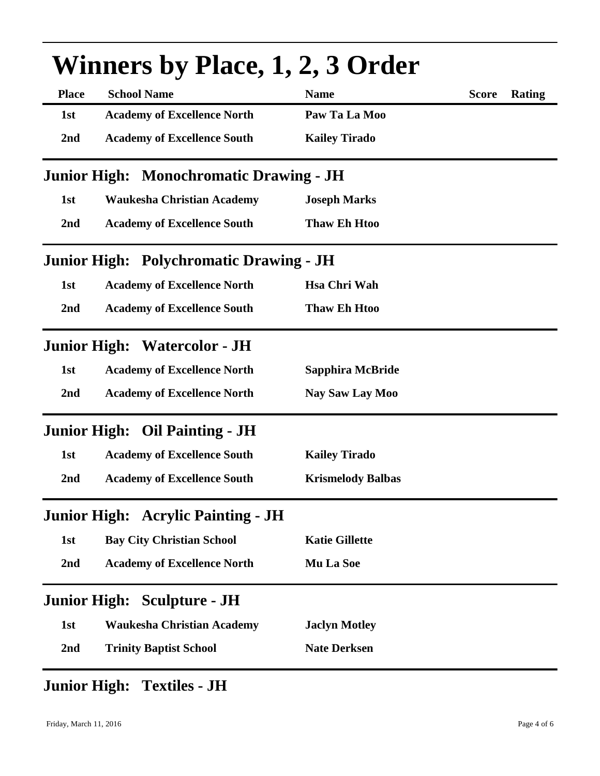| <b>Winners by Place, 1, 2, 3 Order</b>         |                                                |                          |              |        |  |
|------------------------------------------------|------------------------------------------------|--------------------------|--------------|--------|--|
| <b>Place</b>                                   | <b>School Name</b>                             | <b>Name</b>              | <b>Score</b> | Rating |  |
| 1st                                            | <b>Academy of Excellence North</b>             | Paw Ta La Moo            |              |        |  |
| 2nd                                            | <b>Academy of Excellence South</b>             | <b>Kailey Tirado</b>     |              |        |  |
| <b>Junior High: Monochromatic Drawing - JH</b> |                                                |                          |              |        |  |
| 1st                                            | <b>Waukesha Christian Academy</b>              | <b>Joseph Marks</b>      |              |        |  |
| 2nd                                            | <b>Academy of Excellence South</b>             | <b>Thaw Eh Htoo</b>      |              |        |  |
|                                                | <b>Junior High: Polychromatic Drawing - JH</b> |                          |              |        |  |
| 1st                                            | <b>Academy of Excellence North</b>             | <b>Hsa Chri Wah</b>      |              |        |  |
| 2nd                                            | <b>Academy of Excellence South</b>             | <b>Thaw Eh Htoo</b>      |              |        |  |
|                                                | <b>Junior High: Watercolor - JH</b>            |                          |              |        |  |
| 1st                                            | <b>Academy of Excellence North</b>             | Sapphira McBride         |              |        |  |
| 2nd                                            | <b>Academy of Excellence North</b>             | Nay Saw Lay Moo          |              |        |  |
|                                                | Junior High: Oil Painting - JH                 |                          |              |        |  |
| 1st                                            | <b>Academy of Excellence South</b>             | <b>Kailey Tirado</b>     |              |        |  |
| 2nd                                            | <b>Academy of Excellence South</b>             | <b>Krismelody Balbas</b> |              |        |  |
|                                                | <b>Junior High: Acrylic Painting - JH</b>      |                          |              |        |  |
| 1st                                            | <b>Bay City Christian School</b>               | <b>Katie Gillette</b>    |              |        |  |
| 2 <sub>nd</sub>                                | <b>Academy of Excellence North</b>             | Mu La Soe                |              |        |  |
|                                                | <b>Junior High: Sculpture - JH</b>             |                          |              |        |  |
| 1st                                            | <b>Waukesha Christian Academy</b>              | <b>Jaclyn Motley</b>     |              |        |  |
| 2nd                                            | <b>Trinity Baptist School</b>                  | <b>Nate Derksen</b>      |              |        |  |

## **Junior High: Textiles - JH**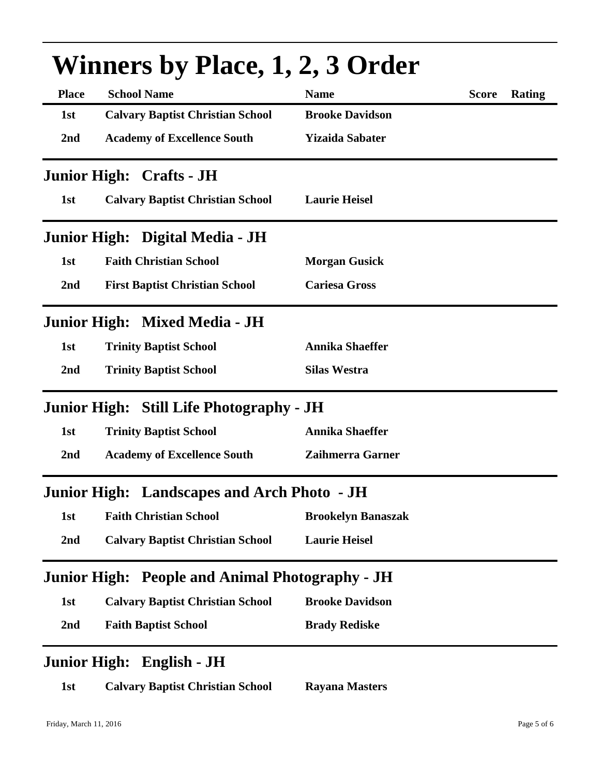| WINNERS DY PIACE, 1, 2, 5 ORGER |                                                        |                           |              |               |  |
|---------------------------------|--------------------------------------------------------|---------------------------|--------------|---------------|--|
| <b>Place</b>                    | <b>School Name</b>                                     | <b>Name</b>               | <b>Score</b> | <b>Rating</b> |  |
| 1st                             | <b>Calvary Baptist Christian School</b>                | <b>Brooke Davidson</b>    |              |               |  |
| 2 <sub>nd</sub>                 | <b>Academy of Excellence South</b>                     | <b>Yizaida Sabater</b>    |              |               |  |
|                                 | <b>Junior High: Crafts - JH</b>                        |                           |              |               |  |
| 1st                             | <b>Calvary Baptist Christian School</b>                | <b>Laurie Heisel</b>      |              |               |  |
|                                 | Junior High: Digital Media - JH                        |                           |              |               |  |
| 1st                             | <b>Faith Christian School</b>                          | <b>Morgan Gusick</b>      |              |               |  |
| 2nd                             | <b>First Baptist Christian School</b>                  | <b>Cariesa Gross</b>      |              |               |  |
|                                 | Junior High: Mixed Media - JH                          |                           |              |               |  |
| 1st                             | <b>Trinity Baptist School</b>                          | <b>Annika Shaeffer</b>    |              |               |  |
| 2nd                             | <b>Trinity Baptist School</b>                          | <b>Silas Westra</b>       |              |               |  |
|                                 | Junior High: Still Life Photography - JH               |                           |              |               |  |
| 1st                             | <b>Trinity Baptist School</b>                          | <b>Annika Shaeffer</b>    |              |               |  |
| 2 <sub>nd</sub>                 | <b>Academy of Excellence South</b>                     | <b>Zaihmerra Garner</b>   |              |               |  |
|                                 | <b>Junior High: Landscapes and Arch Photo - JH</b>     |                           |              |               |  |
| 1st                             | <b>Faith Christian School</b>                          | <b>Brookelyn Banaszak</b> |              |               |  |
| 2nd                             | <b>Calvary Baptist Christian School</b>                | <b>Laurie Heisel</b>      |              |               |  |
|                                 | <b>Junior High: People and Animal Photography - JH</b> |                           |              |               |  |
| 1st                             | <b>Calvary Baptist Christian School</b>                | <b>Brooke Davidson</b>    |              |               |  |
| 2nd                             | <b>Faith Baptist School</b>                            | <b>Brady Rediske</b>      |              |               |  |
|                                 | Junior High: English - JH                              |                           |              |               |  |
| 1st                             | <b>Calvary Baptist Christian School</b>                | <b>Rayana Masters</b>     |              |               |  |

## $W$ inners by Place, 1, 2,  $\Omega$ uder